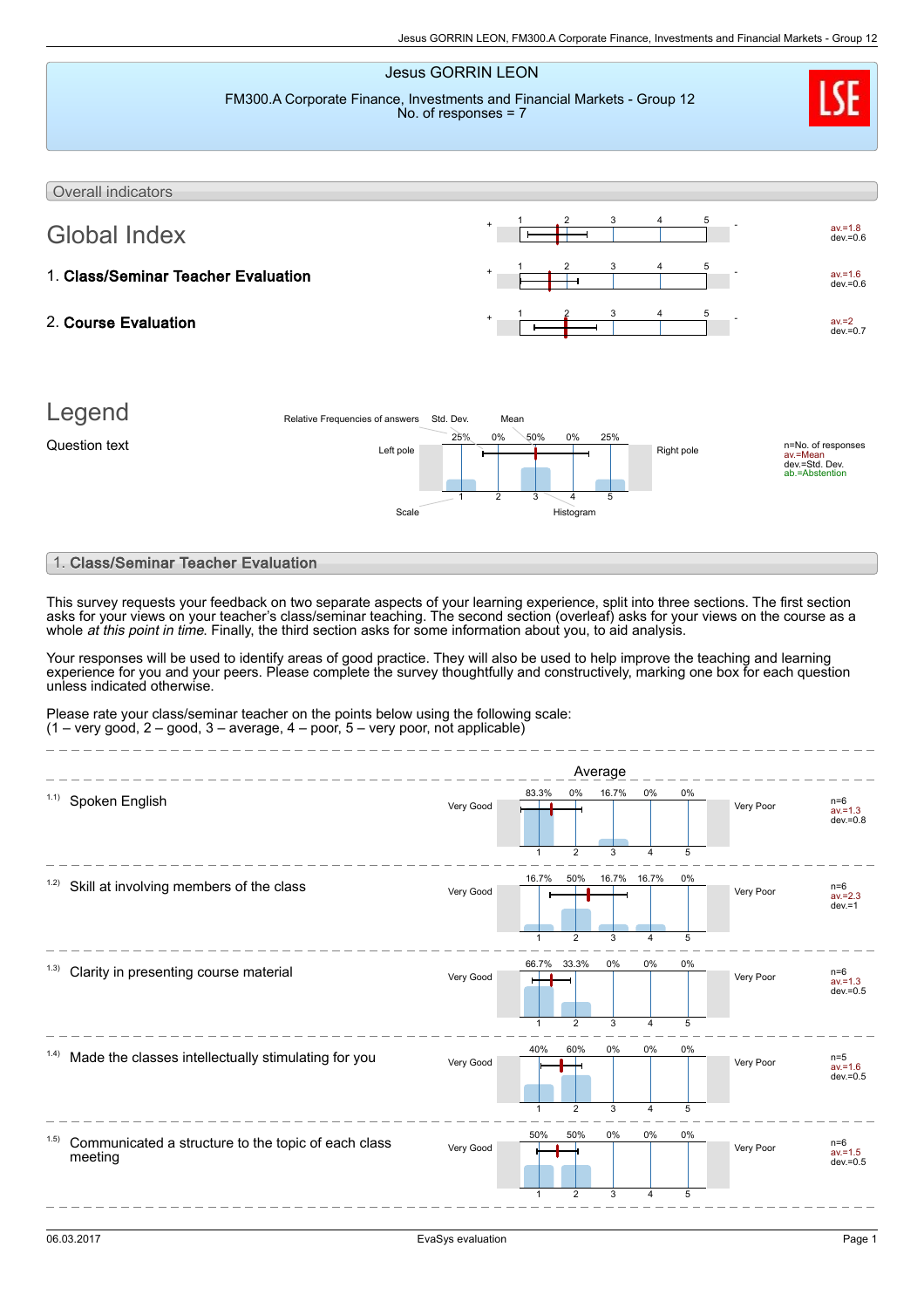## Jesus GORRIN LEON FM300.A Corporate Finance, Investments and Financial Markets - Group 12 No. of responses = 7 Overall indicators Global Index  $av = 1.8$ <br>dev. = 0.6 1 2 3 4 5 1. Class/Seminar Teacher Evaluation  $av.=1.6$ <br>dev.=0.6 1 2 3 4 5 2. Course Evaluation  $av.=2$ <br>dev.=0.7 1 2 3 4 5 Legend Question text and the contract contract contract the contract of the contract of responses the new pole of responses av.=Mean dev.=Std. Dev. ab.=Abstention  $250$ 1 0% 2 50% 3 0% 4 25% 5 Relative Frequencies of answers Std. Dev. Mean Scale Histogram

## 1. Class/Seminar Teacher Evaluation

This survey requests your feedback on two separate aspects of your learning experience, split into three sections. The first section asks for your views on your teacher's class/seminar teaching. The second section (overleaf) asks for your views on the course as a whole *at this point in time*. Finally, the third section asks for some information about you, to aid analysis.

Your responses will be used to identify areas of good practice. They will also be used to help improve the teaching and learning experience for you and your peers. Please complete the survey thoughtfully and constructively, marking one box for each question unless indicated otherwise.

Please rate your class/seminar teacher on the points below using the following scale:  $(1 - \text{very good}, 2 - \text{good}, 3 - \text{average}, 4 - \text{poor}, 5 - \text{very poor}, \text{not applicable})$ 

|                                                                         | Average   |                |                |       |       |       |           |                                    |
|-------------------------------------------------------------------------|-----------|----------------|----------------|-------|-------|-------|-----------|------------------------------------|
| 1.1)<br>Spoken English                                                  | Very Good | 83.3%          | 0%             | 16.7% | 0%    | $0\%$ | Very Poor | $n=6$<br>$av = 1.3$<br>$dev = 0.8$ |
|                                                                         |           | -1             | $\overline{2}$ | 3     | 4     | 5     |           |                                    |
| 1.2)<br>Skill at involving members of the class                         | Very Good | 16.7%          | 50%            | 16.7% | 16.7% | 0%    | Very Poor | $n=6$<br>$av = 2.3$<br>$dev = 1$   |
|                                                                         |           |                | $\overline{2}$ | 3     |       | 5     |           |                                    |
| (1.3)<br>Clarity in presenting course material                          | Very Good | 66.7%          | 33.3%          | 0%    | 0%    | 0%    | Very Poor | $n=6$<br>$av = 1.3$<br>$dev = 0.5$ |
|                                                                         |           | $\overline{1}$ | $\overline{2}$ | 3     | 4     | 5     |           |                                    |
| (1.4)<br>Made the classes intellectually stimulating for you            | Very Good | 40%            | 60%            | 0%    | 0%    | 0%    | Very Poor | $n=5$<br>$av = 1.6$<br>$dev = 0.5$ |
|                                                                         |           | $\overline{1}$ | $\overline{2}$ | 3     | 4     | 5     |           |                                    |
| (1.5)<br>Communicated a structure to the topic of each class<br>meeting | Very Good | 50%            | 50%            | 0%    | 0%    | 0%    | Very Poor | $n=6$<br>$av = 1.5$<br>$dev = 0.5$ |
|                                                                         |           |                | $\overline{2}$ | 3     | 4     | 5     |           |                                    |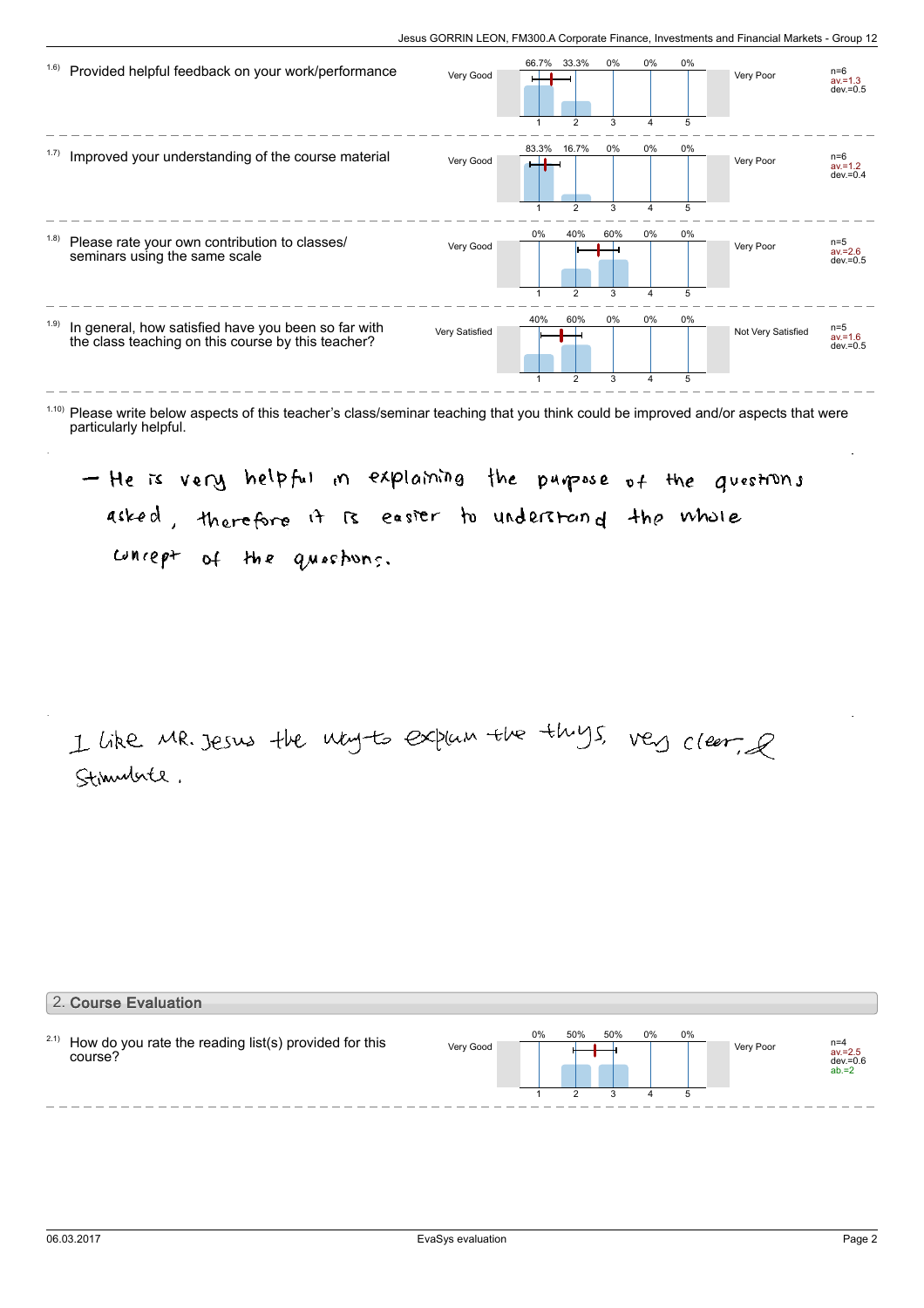

 $1.10$ ) Please write below aspects of this teacher's class/seminar teaching that you think could be improved and/or aspects that were particularly helpful.

## - He is very helpful in explaining the purpose of the questions asked, therefore it is easter to understrand the whole concept of the quostons.

I like MR. Jesus the way to explain the thigs, very clear, & Gimmete,

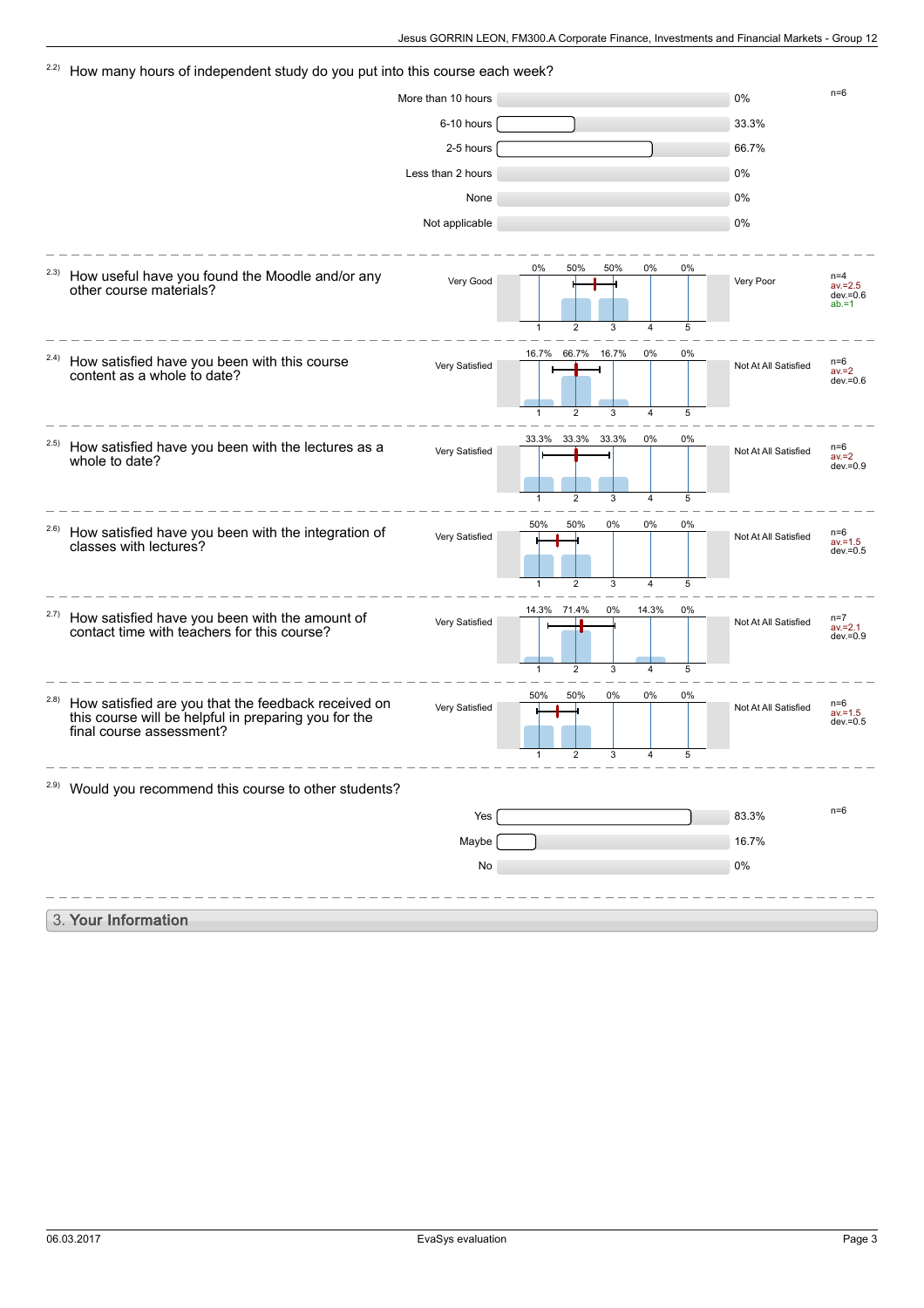### $22$  How many hours of independent study do you put into this course each week? More than 10 hours  $n=6$ 6-10 hours 33.3% 2-5 hours 66.7% Less than 2 hours **0%** None and the contract of the contract of the contract of the contract of the contract of the contract of the contract of the contract of the contract of the contract of the contract of the contract of the contract of the c Not applicable 0% How useful have you found the Moodle and/or any other course materials? 2.3) Very Good **The Manual Property Cool** av.=2.5 dev.=0.6 ab.=1  $0%$ 1 50% 2 50% 3 0% 4 0% 5 How satisfied have you been with this course content as a whole to date? 2.4) Very Satisfied Not At All Satisfied n=6 av.=2 dev.=0.6 16.7% 1 66.7% 5 16.7% 3 0% 4  $0%$ 5 How satisfied have you been with the lectures as a whole to date? 2.5) Very Satisfied **Not At All Satisfied** Not At All Satisfied av.=2 dev.=0.9 33.3% 1 33.3% 2 33.3% 3 0% 4 0% 5 How satisfied have you been with the integration of classes with lectures? 2.6) Very Satisfied Not At All Satisfied n=6 av.=1.5 dev.=0.5 50% 1 50% 2  $0%$  $\overline{3}$  $0%$  $\overline{A}$  $0%$  $\overline{5}$ How satisfied have you been with the amount of contact time with teachers for this course? 2.7) Very Satisfied **Not At All Satisfied** Not At All Satisfied av.=2.1 dev.=0.9 14.3% 1 71.4%  $\overline{2}$ 0% 3 14.3%  $\overline{4}$ 0% 5 How satisfied are you that the feedback received on this course will be helpful in preparing you for the final course assessment? 2.8) Very Satisfied **Not At All Satisfied** Not At All Satisfied av.=1.5 dev.=0.5 50% 1 50% 2 0% 3 0% 4 0% 5 <sup>2.9)</sup> Would you recommend this course to other students?  $Yes$   $n=6$ Maybe 16.7% No 0% 3. Your Information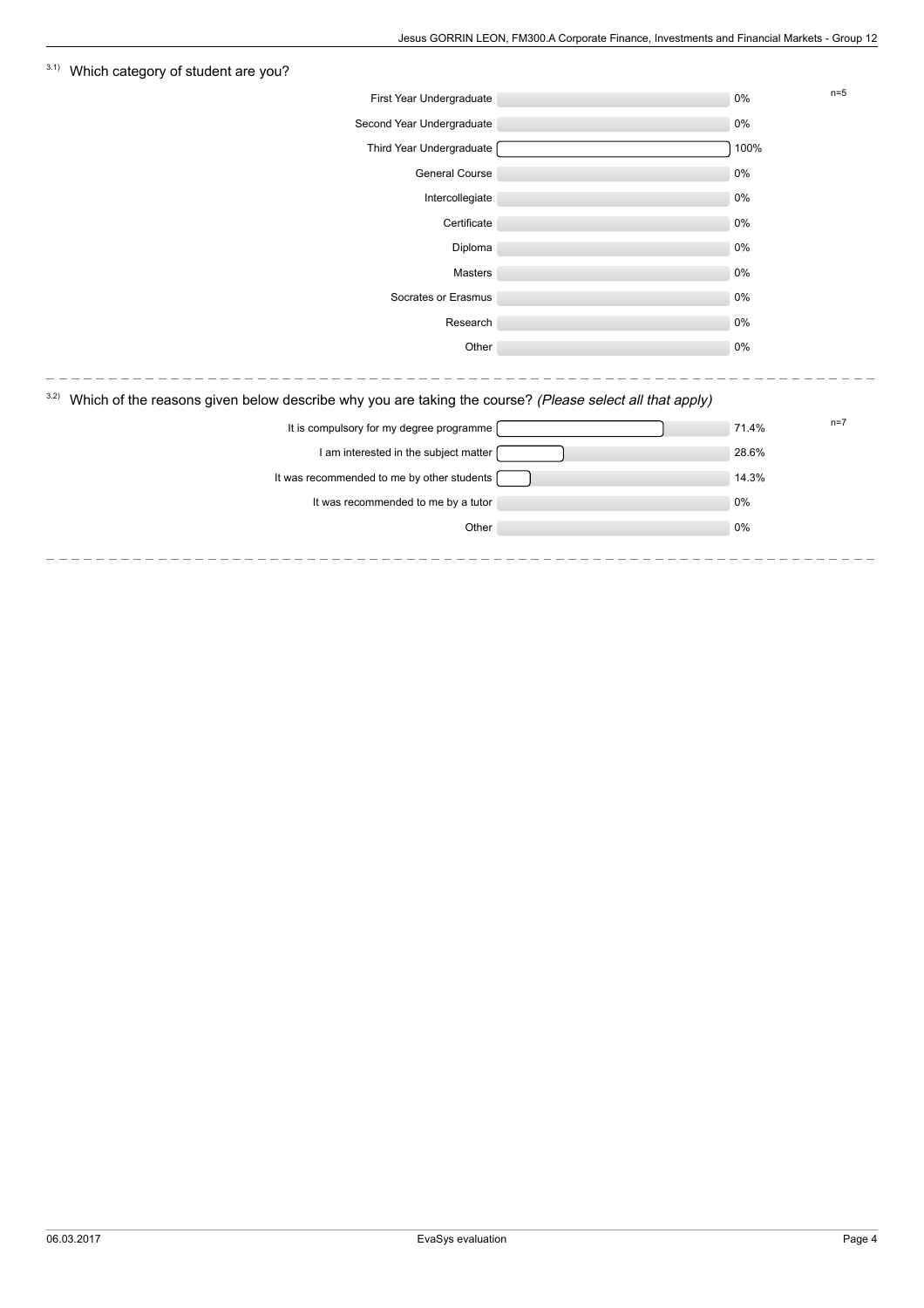| 3.1)<br>Which category of student are you?                                                                      |       |       |  |  |  |  |
|-----------------------------------------------------------------------------------------------------------------|-------|-------|--|--|--|--|
| First Year Undergraduate                                                                                        | 0%    | $n=5$ |  |  |  |  |
| Second Year Undergraduate                                                                                       | 0%    |       |  |  |  |  |
| Third Year Undergraduate                                                                                        | 100%  |       |  |  |  |  |
| General Course                                                                                                  | 0%    |       |  |  |  |  |
| Intercollegiate                                                                                                 | 0%    |       |  |  |  |  |
| Certificate                                                                                                     | 0%    |       |  |  |  |  |
| Diploma                                                                                                         | 0%    |       |  |  |  |  |
| Masters                                                                                                         | 0%    |       |  |  |  |  |
| Socrates or Erasmus                                                                                             | 0%    |       |  |  |  |  |
| Research                                                                                                        | 0%    |       |  |  |  |  |
| Other                                                                                                           | 0%    |       |  |  |  |  |
|                                                                                                                 |       |       |  |  |  |  |
| 3.2)<br>Which of the reasons given below describe why you are taking the course? (Please select all that apply) |       |       |  |  |  |  |
| It is compulsory for my degree programme                                                                        | 71.4% | $n=7$ |  |  |  |  |
| I am interested in the subject matter                                                                           | 28.6% |       |  |  |  |  |
| It was recommended to me by other students                                                                      | 14.3% |       |  |  |  |  |
| It was recommended to me by a tutor                                                                             | 0%    |       |  |  |  |  |
| Other                                                                                                           | 0%    |       |  |  |  |  |
|                                                                                                                 |       |       |  |  |  |  |